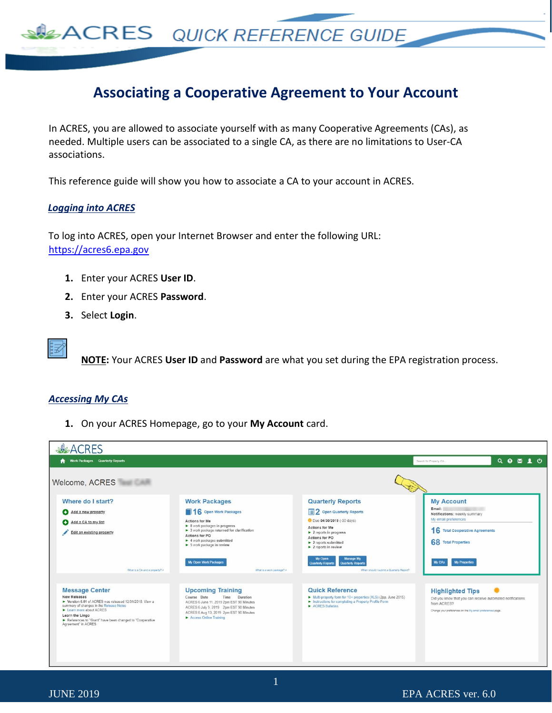## **Associating a Cooperative Agreement to Your Account**

In ACRES, you are allowed to associate yourself with as many Cooperative Agreements (CAs), as needed. Multiple users can be associated to a single CA, as there are no limitations to User-CA associations.

This reference guide will show you how to associate a CA to your account in ACRES.

## *Logging into ACRES*

To log into ACRES, open your Internet Browser and enter the following URL: [https://acres6.epa.gov](https://acres6.epa.gov/)

**SACRES** QUICK REFERENCE GUIDE

- **1.** Enter your ACRES **User ID**.
- **2.** Enter your ACRES **Password**.
- **3.** Select **Login**.



**NOTE:** Your ACRES **User ID** and **Password** are what you set during the EPA registration process.

## *Accessing My CAs*

**1.** On your ACRES Homepage, go to your **My Account** card.

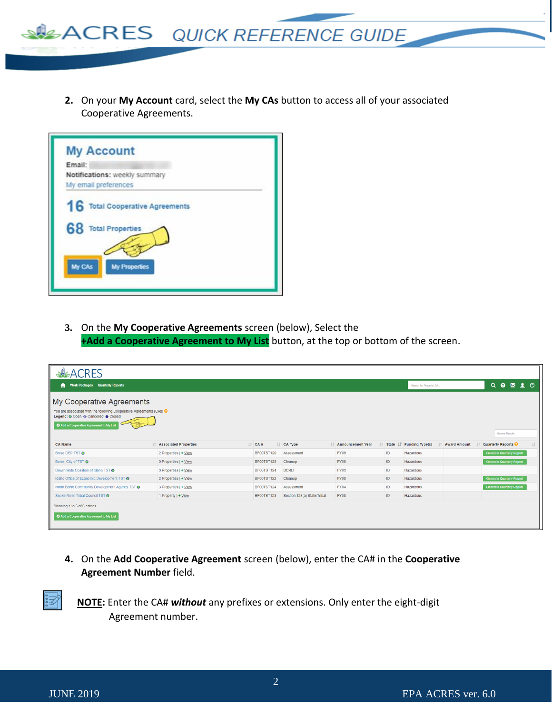

**2.** On your **My Account** card, select the **My CAs** button to access all of your associated Cooperative Agreements.



**3.** On the **My Cooperative Agreements** screen (below), Select the **+Add a Cooperative Agreement to My List** button, at the top or bottom of the screen.

| <b>ALACRES</b>                                                                                                                                                                                                |                              |                   |                             |                          |                                  |                          |                     |                                            |
|---------------------------------------------------------------------------------------------------------------------------------------------------------------------------------------------------------------|------------------------------|-------------------|-----------------------------|--------------------------|----------------------------------|--------------------------|---------------------|--------------------------------------------|
| <b>Work Packages</b> Quarterly Reports<br>A<br>Search for Property, CA                                                                                                                                        |                              |                   |                             |                          | $Q \bullet \mathbf{M} \bullet Q$ |                          |                     |                                            |
| My Cooperative Agreements<br>You are associated with the following Cooperative Agreements (CAs) $\Theta$<br>Legend: O Open, O Cancelled, O Closed<br>Add a Cooperative Agreement to My List<br>Narrow Results |                              |                   |                             |                          |                                  |                          |                     |                                            |
| <b>CA Name</b>                                                                                                                                                                                                | <b>Associated Properties</b> | $\Box$ CA#        | IT CA Type                  | <b>Announcement Year</b> |                                  | State IF Funding Type(s) | <b>Award Amount</b> | Quarterly Reports <sup>@</sup><br><b>I</b> |
| Boise DEP TST O                                                                                                                                                                                               | 2 Properties   + View        | BF00TST120        | Assessment                  | FY09                     | ID                               | Hazardous                |                     | <b>Generate Quarterly Report</b>           |
| Boise, City of TST O                                                                                                                                                                                          | 0 Properties   + View        | <b>BF00TST125</b> | Cleanup                     | <b>FY08</b>              | ID                               | Hazardous                |                     | <b>Generate Quarterly Report</b>           |
| Brownfields Coalition of Idaho TST                                                                                                                                                                            | 3 Properties   + View        | BF00TST124        | <b>BCRLF</b>                | FY03                     | ID                               | Hazardous                |                     |                                            |
| Idaho Office of Economic Development TST @                                                                                                                                                                    | 2 Properties   + View        | <b>BF00TST122</b> | Cleanup                     | <b>FY09</b>              | ID                               | Hazardous                |                     | <b>Generate Quarterly Report</b>           |
| North Boise Community Development Agency TST O                                                                                                                                                                | 3 Properties   + View        | <b>BF00TST124</b> | Assessment                  | <b>FY04</b>              | ID                               | Hazardous                |                     | <b>Generate Quarterly Report</b>           |
| Snake River Tribal Council TST @                                                                                                                                                                              | 1 Property   + View          | BF00TST123        | Section 128(a) State/Tribal | <b>FY08</b>              | ID                               | Hazardous                |                     |                                            |
| Showing 1 to 6 of 6 entries<br>Add a Cooperative Agreement to My List                                                                                                                                         |                              |                   |                             |                          |                                  |                          |                     |                                            |

**4.** On the **Add Cooperative Agreement** screen (below), enter the CA# in the **Cooperative Agreement Number** field.

**NOTE:** Enter the CA# *without* any prefixes or extensions. Only enter the eight-digit Agreement number.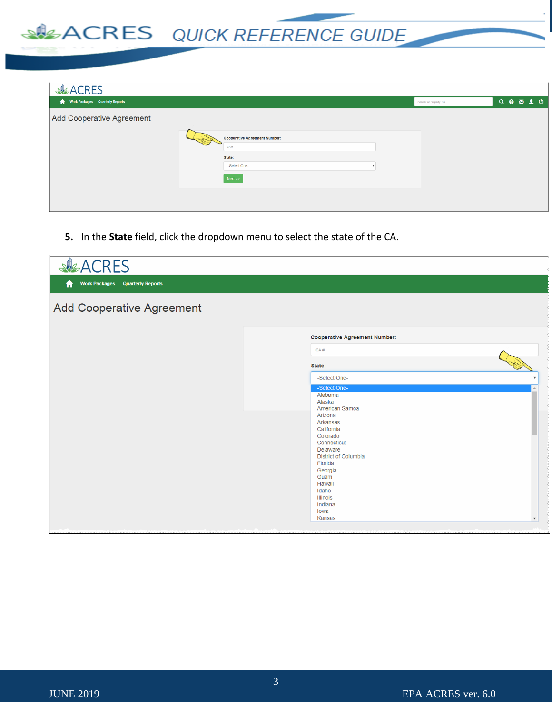## ACRES QUICK REFERENCE GUIDE

| <b>SACRES</b>                    |                                                                               |                         |                           |  |
|----------------------------------|-------------------------------------------------------------------------------|-------------------------|---------------------------|--|
| Work Packages Quarterly Reports  |                                                                               | Search for Property, CA | $Q \bullet \mathbb{Z} 10$ |  |
| <b>Add Cooperative Agreement</b> | <b>Cooperative Agreement Number:</b><br>CAB<br>State:<br>-Select One-<br>Next |                         |                           |  |

**5.** In the **State** field, click the dropdown menu to select the state of the CA.

| <b>ALACRES</b>                              |                                                                                                                                                                                                      |
|---------------------------------------------|------------------------------------------------------------------------------------------------------------------------------------------------------------------------------------------------------|
| <b>Work Packages Quarterly Reports</b><br>Ħ |                                                                                                                                                                                                      |
| <b>Add Cooperative Agreement</b>            |                                                                                                                                                                                                      |
|                                             | <b>Cooperative Agreement Number:</b>                                                                                                                                                                 |
|                                             | CA#                                                                                                                                                                                                  |
|                                             | State:                                                                                                                                                                                               |
|                                             | -Select One-<br>-Select One-<br>Alabama<br>Alaska<br>American Samoa<br>Arizona<br>Arkansas<br>California<br>Colorado<br>Connecticut<br>Delaware<br><b>District of Columbia</b><br>Florida<br>Georgia |
|                                             | Guam<br>Hawaii<br>Idaho<br><b>Illinois</b><br>Indiana<br>Iowa<br>Kansas                                                                                                                              |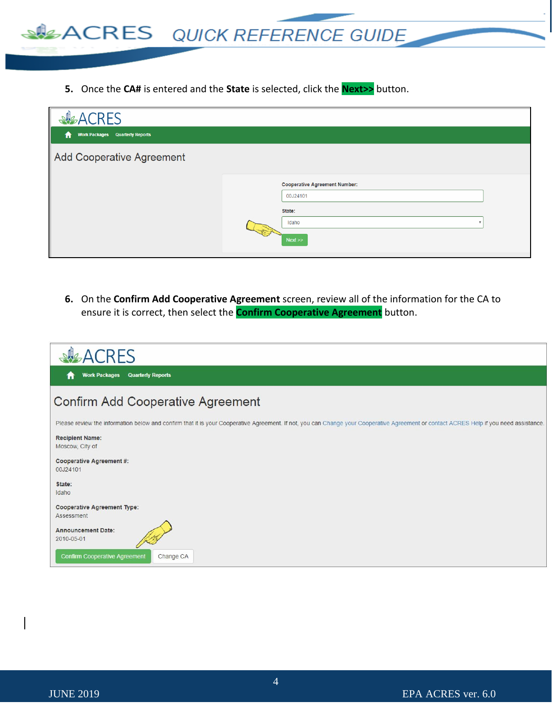

**5.** Once the **CA#** is entered and the **State** is selected, click the **Next>>** button.

| <b>ACRES</b>                                |                                                                             |  |
|---------------------------------------------|-----------------------------------------------------------------------------|--|
| <b>Work Packages Quarterly Reports</b><br>A |                                                                             |  |
| <b>Add Cooperative Agreement</b>            |                                                                             |  |
|                                             | <b>Cooperative Agreement Number:</b><br>00J24101<br>State:<br>Idaho<br>Next |  |

**6.** On the **Confirm Add Cooperative Agreement** screen, review all of the information for the CA to ensure it is correct, then select the **Confirm Cooperative Agreement** button.

| <b>ACRES</b>                                                                                                                                                                           |
|----------------------------------------------------------------------------------------------------------------------------------------------------------------------------------------|
| <b>Quarterly Reports</b><br><b>Work Packages</b>                                                                                                                                       |
| <b>Confirm Add Cooperative Agreement</b>                                                                                                                                               |
| Please review the information below and confirm that it is your Cooperative Agreement. If not, you can Change your Cooperative Agreement or contact ACRES Help if you need assistance. |
| <b>Recipient Name:</b><br>Moscow, City of                                                                                                                                              |
| <b>Cooperative Agreement #:</b><br>00J24101                                                                                                                                            |
| State:<br>Idaho                                                                                                                                                                        |
| <b>Cooperative Agreement Type:</b><br>Assessment                                                                                                                                       |
| <b>Announcement Date:</b><br>2010-05-01                                                                                                                                                |
| <b>Confirm Cooperative Agreement</b><br>Change CA                                                                                                                                      |